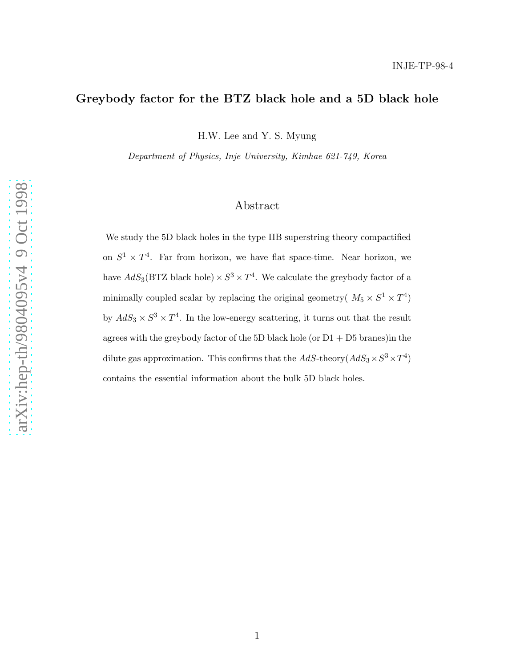# Greybody factor for the BTZ black hole and a 5D black hole

H.W. Lee and Y. S. Myung

Department of Physics, Inje University, Kimhae 621-749, Korea

## Abstract

We study the 5D black holes in the type IIB superstring theory compactified on  $S^1 \times T^4$ . Far from horizon, we have flat space-time. Near horizon, we have  $AdS_3(BTZ \text{ black hole}) \times S^3 \times T^4$ . We calculate the greybody factor of a minimally coupled scalar by replacing the original geometry(  $M_5 \times S^1 \times T^4$ ) by  $AdS_3 \times S^3 \times T^4$ . In the low-energy scattering, it turns out that the result agrees with the greybody factor of the 5D black hole (or  $D1 + D5$  branes)in the dilute gas approximation. This confirms that the  $AdS$ -theory $(AdS_3 \times S^3 \times T^4)$ contains the essential information about the bulk 5D black holes.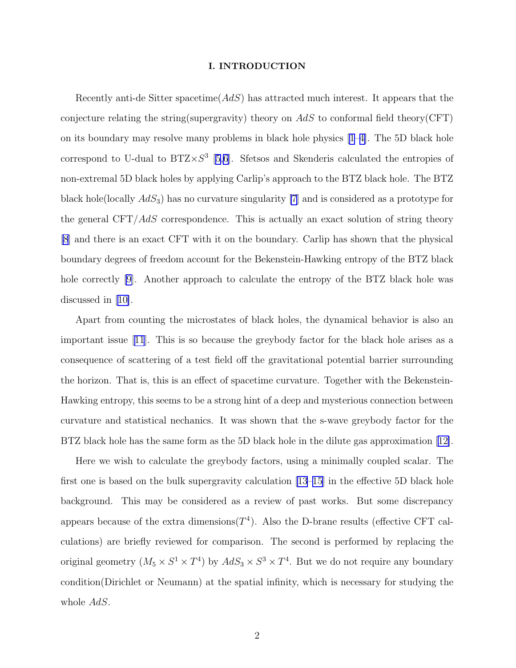#### I. INTRODUCTION

Recently anti-de Sitter spacetime( $AdS$ ) has attracted much interest. It appears that the conjecture relating the string(supergravity) theory on  $AdS$  to conformal field theory(CFT) on its boundary may resolve many problems in black hole physics [\[1–4\]](#page-13-0). The 5D black hole correspond to U-dual to  $BTZ \times S^3$  [[5,6\]](#page-13-0). Sfetsos and Skenderis calculated the entropies of non-extremal 5D black holes by applying Carlip's approach to the BTZ black hole. The BTZ black hole(locally  $AdS_3$ ) has no curvature singularity [\[7](#page-13-0)] and is considered as a prototype for the general  $CFT/AdS$  correspondence. This is actually an exact solution of string theory [\[8](#page-13-0)] and there is an exact CFT with it on the boundary. Carlip has shown that the physical boundary degrees of freedom account for the Bekenstein-Hawking entropy of the BTZ black hole correctly [\[9](#page-13-0)]. Another approach to calculate the entropy of the BTZ black hole was discussed in[[10\]](#page-13-0).

Apart from counting the microstates of black holes, the dynamical behavior is also an important issue[[11](#page-13-0)]. This is so because the greybody factor for the black hole arises as a consequence of scattering of a test field off the gravitational potential barrier surrounding the horizon. That is, this is an effect of spacetime curvature. Together with the Bekenstein-Hawking entropy, this seems to be a strong hint of a deep and mysterious connection between curvature and statistical nechanics. It was shown that the s-wave greybody factor for the BTZ black hole has the same form as the 5D black hole in the dilute gas approximation [\[12\]](#page-13-0).

Here we wish to calculate the greybody factors, using a minimally coupled scalar. The first one is based on the bulk supergravity calculation [\[13–15\]](#page-13-0) in the effective 5D black hole background. This may be considered as a review of past works. But some discrepancy appears because of the extra dimensions  $(T<sup>4</sup>)$ . Also the D-brane results (effective CFT calculations) are briefly reviewed for comparison. The second is performed by replacing the original geometry  $(M_5 \times S^1 \times T^4)$  by  $AdS_3 \times S^3 \times T^4$ . But we do not require any boundary condition(Dirichlet or Neumann) at the spatial infinity, which is necessary for studying the whole  $AdS$ .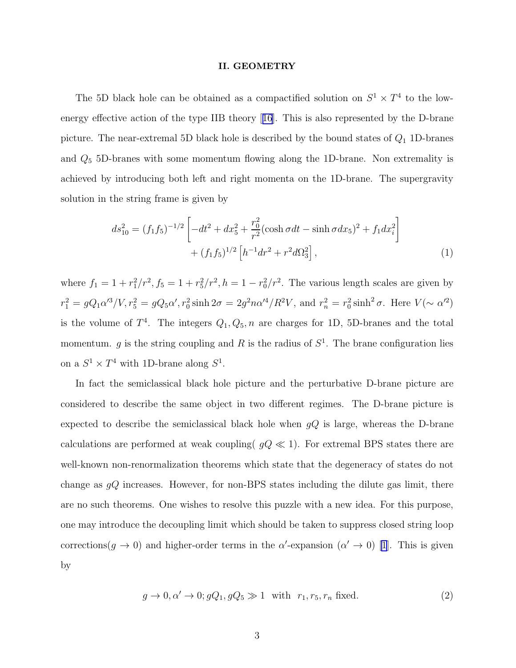#### II. GEOMETRY

<span id="page-2-0"></span>The 5D black hole can be obtained as a compactified solution on  $S^1 \times T^4$  to the lowenergy effective action of the type IIB theory[[16](#page-13-0)]. This is also represented by the D-brane picture. The near-extremal 5D black hole is described by the bound states of  $Q_1$  1D-branes and  $Q_5$  5D-branes with some momentum flowing along the 1D-brane. Non extremality is achieved by introducing both left and right momenta on the 1D-brane. The supergravity solution in the string frame is given by

$$
ds_{10}^{2} = (f_{1}f_{5})^{-1/2} \left[ -dt^{2} + dx_{5}^{2} + \frac{r_{0}^{2}}{r^{2}} (\cosh \sigma dt - \sinh \sigma dx_{5})^{2} + f_{1} dx_{i}^{2} \right] + (f_{1}f_{5})^{1/2} \left[ h^{-1} dr^{2} + r^{2} d\Omega_{3}^{2} \right],
$$
\n(1)

where  $f_1 = 1 + r_1^2/r^2$ ,  $f_5 = 1 + r_5^2/r^2$ ,  $h = 1 - r_0^2/r^2$ . The various length scales are given by  $r_1^2 = gQ_1\alpha'^3/V, r_5^2 = gQ_5\alpha', r_0^2 \sinh 2\sigma = 2g^2n\alpha'^4/R^2V$ , and  $r_n^2 = r_0^2 \sinh^2 \sigma$ . Here  $V(\sim \alpha'^2)$ is the volume of  $T^4$ . The integers  $Q_1, Q_5, n$  are charges for 1D, 5D-branes and the total momentum. g is the string coupling and R is the radius of  $S<sup>1</sup>$ . The brane configuration lies on a  $S^1 \times T^4$  with 1D-brane along  $S^1$ .

In fact the semiclassical black hole picture and the perturbative D-brane picture are considered to describe the same object in two different regimes. The D-brane picture is expected to describe the semiclassical black hole when  $gQ$  is large, whereas the D-brane calculations are performed at weak coupling( $qQ \ll 1$ ). For extremal BPS states there are well-known non-renormalization theorems which state that the degeneracy of states do not change as  $gQ$  increases. However, for non-BPS states including the dilute gas limit, there are no such theorems. One wishes to resolve this puzzle with a new idea. For this purpose, one may introduce the decoupling limit which should be taken to suppress closed string loop corrections( $g \to 0$ ) and higher-order terms in the  $\alpha'$ -expansion  $(\alpha' \to 0)$  [\[1\]](#page-13-0). This is given by

$$
g \to 0, \alpha' \to 0; gQ_1, gQ_5 \gg 1 \quad \text{with} \quad r_1, r_5, r_n \text{ fixed.} \tag{2}
$$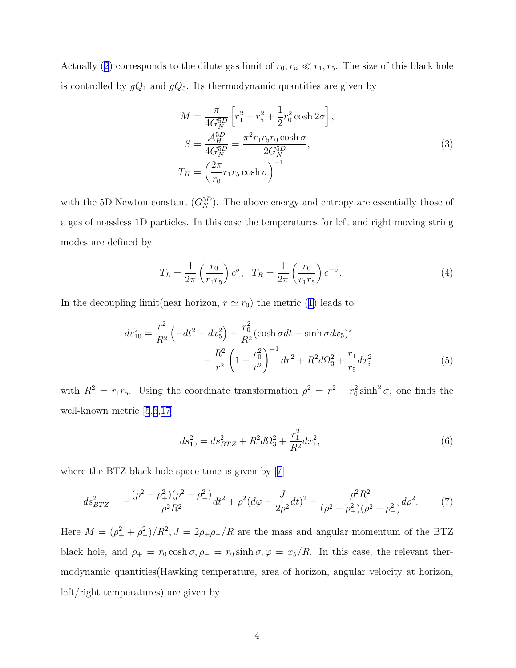<span id="page-3-0"></span>Actually([2](#page-2-0)) corresponds to the dilute gas limit of  $r_0, r_n \ll r_1, r_5$ . The size of this black hole is controlled by  $gQ_1$  and  $gQ_5$ . Its thermodynamic quantities are given by

$$
M = \frac{\pi}{4G_N^{5D}} \left[ r_1^2 + r_5^2 + \frac{1}{2} r_0^2 \cosh 2\sigma \right],
$$
  
\n
$$
S = \frac{\mathcal{A}_H^{5D}}{4G_N^{5D}} = \frac{\pi^2 r_1 r_5 r_0 \cosh \sigma}{2G_N^{5D}},
$$
  
\n
$$
T_H = \left( \frac{2\pi}{r_0} r_1 r_5 \cosh \sigma \right)^{-1}
$$
\n(3)

with the 5D Newton constant  $(G_N^{5D})$ . The above energy and entropy are essentially those of a gas of massless 1D particles. In this case the temperatures for left and right moving string modes are defined by

$$
T_L = \frac{1}{2\pi} \left(\frac{r_0}{r_1 r_5}\right) e^{\sigma}, \quad T_R = \frac{1}{2\pi} \left(\frac{r_0}{r_1 r_5}\right) e^{-\sigma}.
$$
 (4)

Inthe decoupling limit(near horizon,  $r \simeq r_0$ ) the metric ([1\)](#page-2-0) leads to

$$
ds_{10}^2 = \frac{r^2}{R^2} \left( -dt^2 + dx_5^2 \right) + \frac{r_0^2}{R^2} (\cosh \sigma dt - \sinh \sigma dx_5)^2 + \frac{R^2}{r^2} \left( 1 - \frac{r_0^2}{r^2} \right)^{-1} dr^2 + R^2 d\Omega_3^2 + \frac{r_1}{r_5} dx_i^2
$$
 (5)

with  $R^2 = r_1 r_5$ . Using the coordinate transformation  $\rho^2 = r^2 + r_0^2 \sinh^2 \sigma$ , one finds the well-known metric [\[5](#page-13-0),[6](#page-13-0),[17](#page-14-0)]

$$
ds_{10}^2 = ds_{BTZ}^2 + R^2 d\Omega_3^2 + \frac{r_1^2}{R^2} dx_i^2,
$$
\t(6)

where the BTZ black hole space-time is given by[[7\]](#page-13-0)

$$
ds_{BTZ}^2 = -\frac{(\rho^2 - \rho_+^2)(\rho^2 - \rho_-^2)}{\rho^2 R^2} dt^2 + \rho^2 (d\varphi - \frac{J}{2\rho^2} dt)^2 + \frac{\rho^2 R^2}{(\rho^2 - \rho_+^2)(\rho^2 - \rho_-^2)} d\rho^2.
$$
 (7)

Here  $M = (\rho_+^2 + \rho_-^2)/R^2$ ,  $J = 2\rho_+\rho_-/R$  are the mass and angular momentum of the BTZ black hole, and  $\rho_+ = r_0 \cosh \sigma$ ,  $\rho_- = r_0 \sinh \sigma$ ,  $\varphi = x_5/R$ . In this case, the relevant thermodynamic quantities(Hawking temperature, area of horizon, angular velocity at horizon, left/right temperatures) are given by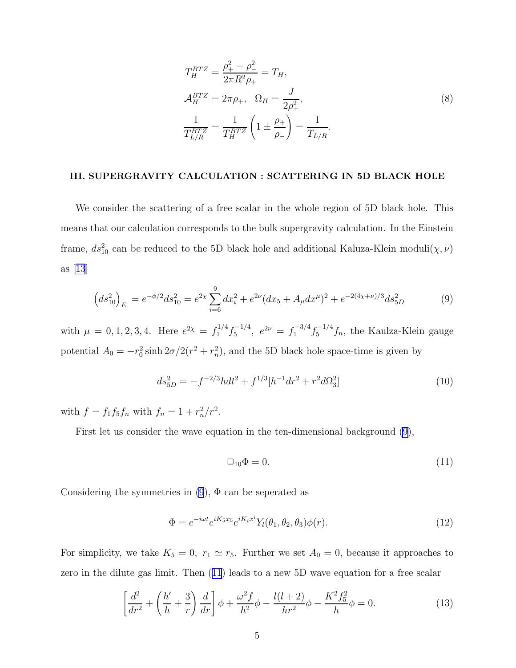$$
T_H^{BTZ} = \frac{\rho_+^2 - \rho_-^2}{2\pi R^2 \rho_+} = T_H,
$$
  
\n
$$
\mathcal{A}_H^{BTZ} = 2\pi \rho_+, \quad \Omega_H = \frac{J}{2\rho_+^2},
$$
  
\n
$$
\frac{1}{T_{L/R}^{BTZ}} = \frac{1}{T_H^{BTZ}} \left(1 \pm \frac{\rho_+}{\rho_-}\right) = \frac{1}{T_{L/R}}.
$$
\n(8)

#### <span id="page-4-0"></span>III. SUPERGRAVITY CALCULATION : SCATTERING IN 5D BLACK HOLE

We consider the scattering of a free scalar in the whole region of 5D black hole. This means that our calculation corresponds to the bulk supergravity calculation. In the Einstein frame,  $ds_{10}^2$  can be reduced to the 5D black hole and additional Kaluza-Klein moduli $(\chi, \nu)$ as[[13](#page-13-0)]

$$
\left(ds_{10}^2\right)_E = e^{-\phi/2} ds_{10}^2 = e^{2\chi} \sum_{i=6}^9 dx_i^2 + e^{2\nu} (dx_5 + A_\mu dx^\mu)^2 + e^{-2(4\chi + \nu)/3} ds_{5D}^2 \tag{9}
$$

with  $\mu = 0, 1, 2, 3, 4$ . Here  $e^{2\chi} = f_1^{1/4} f_5^{-1/4}$ ,  $e^{2\nu} = f_1^{-3/4} f_5^{-1/4} f_n$ , the Kaulza-Klein gauge potential  $A_0 = -r_0^2 \sinh 2\sigma/2(r^2 + r_n^2)$ , and the 5D black hole space-time is given by

$$
ds_{5D}^2 = -f^{-2/3}hdt^2 + f^{1/3}[h^{-1}dr^2 + r^2d\Omega_3^2]
$$
\n(10)

with  $f = f_1 f_5 f_n$  with  $f_n = 1 + r_n^2 / r^2$ .

First let us consider the wave equation in the ten-dimensional background (9),

$$
\Box_{10}\Phi = 0.\tag{11}
$$

Considering the symmetries in  $(9)$ ,  $\Phi$  can be seperated as

$$
\Phi = e^{-i\omega t} e^{iK_5 x_5} e^{iK_i x^i} Y_l(\theta_1, \theta_2, \theta_3) \phi(r). \tag{12}
$$

For simplicity, we take  $K_5 = 0$ ,  $r_1 \simeq r_5$ . Further we set  $A_0 = 0$ , because it approaches to zero in the dilute gas limit. Then (11) leads to a new 5D wave equation for a free scalar

$$
\left[\frac{d^2}{dr^2} + \left(\frac{h'}{h} + \frac{3}{r}\right)\frac{d}{dr}\right]\phi + \frac{\omega^2 f}{h^2}\phi - \frac{l(l+2)}{hr^2}\phi - \frac{K^2 f_5^2}{h}\phi = 0.
$$
 (13)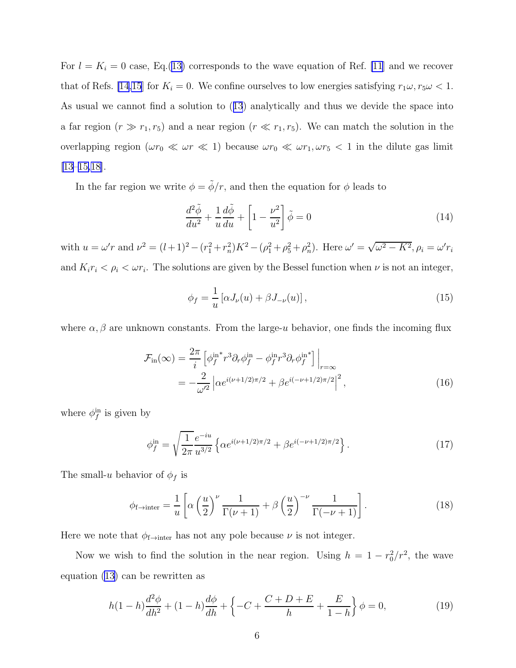<span id="page-5-0"></span>For  $l = K_i = 0$  case, Eq.([13\)](#page-4-0) corresponds to the wave equation of Ref. [\[11](#page-13-0)] and we recover that of Refs. [\[14,15](#page-13-0)] for  $K_i = 0$ . We confine ourselves to low energies satisfying  $r_1 \omega, r_5 \omega < 1$ . As usual we cannot find a solution to([13](#page-4-0)) analytically and thus we devide the space into a far region  $(r \gg r_1, r_5)$  and a near region  $(r \ll r_1, r_5)$ . We can match the solution in the overlapping region ( $\omega r_0 \ll \omega r \ll 1$ ) because  $\omega r_0 \ll \omega r_1, \omega r_5 < 1$  in the dilute gas limit [\[13](#page-13-0)–[15,](#page-13-0)[18\]](#page-14-0).

In the far region we write  $\phi = \tilde{\phi}/r$ , and then the equation for  $\phi$  leads to

$$
\frac{d^2\tilde{\phi}}{du^2} + \frac{1}{u}\frac{d\tilde{\phi}}{du} + \left[1 - \frac{\nu^2}{u^2}\right]\tilde{\phi} = 0
$$
\n(14)

with  $u = \omega' r$  and  $\nu^2 = (l+1)^2 - (r_1^2 + r_n^2)K^2 - (\rho_1^2 + \rho_5^2 + \rho_n^2)$ . Here  $\omega' = \sqrt{\omega^2 - K^2}$ ,  $\rho_i = \omega' r_i$ and  $K_i r_i < \rho_i < \omega r_i$ . The solutions are given by the Bessel function when  $\nu$  is not an integer,

$$
\phi_f = \frac{1}{u} \left[ \alpha J_\nu(u) + \beta J_{-\nu}(u) \right],\tag{15}
$$

where  $\alpha, \beta$  are unknown constants. From the large-u behavior, one finds the incoming flux

$$
\mathcal{F}_{\text{in}}(\infty) = \frac{2\pi}{i} \left[ \phi_f^{\text{in}*} r^3 \partial_r \phi_f^{\text{in}} - \phi_f^{\text{in}} r^3 \partial_r \phi_f^{\text{in}*} \right] \Big|_{r=\infty}
$$
  
= 
$$
-\frac{2}{\omega'^2} \left| \alpha e^{i(\nu+1/2)\pi/2} + \beta e^{i(-\nu+1/2)\pi/2} \right|^2,
$$
 (16)

where  $\phi_f^{\text{in}}$  is given by

$$
\phi_f^{\text{in}} = \sqrt{\frac{1}{2\pi}} \frac{e^{-iu}}{u^{3/2}} \left\{ \alpha e^{i(\nu + 1/2)\pi/2} + \beta e^{i(-\nu + 1/2)\pi/2} \right\}.
$$
 (17)

The small-u behavior of  $\phi_f$  is

$$
\phi_{f \to \text{inter}} = \frac{1}{u} \left[ \alpha \left( \frac{u}{2} \right)^{\nu} \frac{1}{\Gamma(\nu + 1)} + \beta \left( \frac{u}{2} \right)^{-\nu} \frac{1}{\Gamma(-\nu + 1)} \right]. \tag{18}
$$

Here we note that  $\phi_{f\rightarrow inter}$  has not any pole because  $\nu$  is not integer.

Now we wish to find the solution in the near region. Using  $h = 1 - r_0^2/r^2$ , the wave equation [\(13](#page-4-0)) can be rewritten as

$$
h(1-h)\frac{d^2\phi}{dh^2} + (1-h)\frac{d\phi}{dh} + \left\{-C + \frac{C+D+E}{h} + \frac{E}{1-h}\right\}\phi = 0,\tag{19}
$$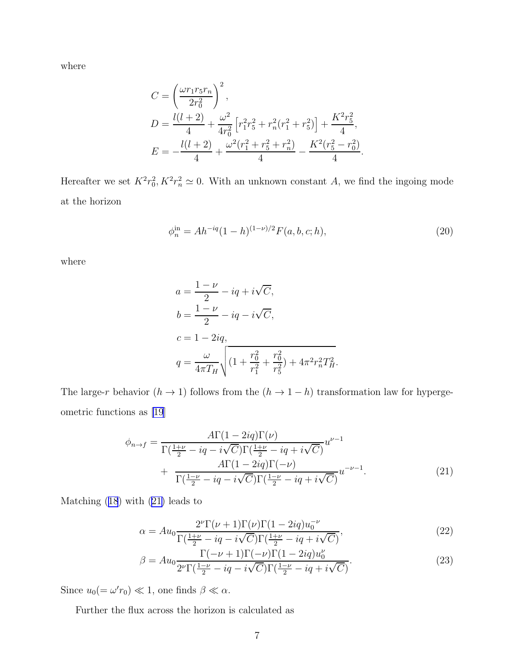where

$$
C = \left(\frac{\omega r_1 r_5 r_n}{2r_0^2}\right)^2,
$$
  
\n
$$
D = \frac{l(l+2)}{4} + \frac{\omega^2}{4r_0^2} \left[r_1^2 r_5^2 + r_n^2 (r_1^2 + r_5^2)\right] + \frac{K^2 r_5^2}{4},
$$
  
\n
$$
E = -\frac{l(l+2)}{4} + \frac{\omega^2 (r_1^2 + r_5^2 + r_n^2)}{4} - \frac{K^2 (r_5^2 - r_0^2)}{4}
$$

Hereafter we set  $K^2 r_0^2$ ,  $K^2 r_n^2 \simeq 0$ . With an unknown constant A, we find the ingoing mode at the horizon

$$
\phi_n^{\text{in}} = Ah^{-iq}(1-h)^{(1-\nu)/2}F(a,b,c;h),\tag{20}
$$

.

where

$$
a = \frac{1 - \nu}{2} - iq + i\sqrt{C},
$$
  
\n
$$
b = \frac{1 - \nu}{2} - iq - i\sqrt{C},
$$
  
\n
$$
c = 1 - 2iq,
$$
  
\n
$$
q = \frac{\omega}{4\pi T_H} \sqrt{(1 + \frac{r_0^2}{r_1^2} + \frac{r_0^2}{r_5^2}) + 4\pi^2 r_n^2 T_H^2}.
$$

The large-r behavior  $(h \to 1)$  follows from the  $(h \to 1 - h)$  transformation law for hypergeometric functions as [\[19](#page-14-0)]

$$
\phi_{n \to f} = \frac{A\Gamma(1 - 2iq)\Gamma(\nu)}{\Gamma(\frac{1+\nu}{2} - iq - i\sqrt{C})\Gamma(\frac{1+\nu}{2} - iq + i\sqrt{C})} u^{\nu - 1} + \frac{A\Gamma(1 - 2iq)\Gamma(-\nu)}{\Gamma(\frac{1-\nu}{2} - iq - i\sqrt{C})\Gamma(\frac{1-\nu}{2} - iq + i\sqrt{C})} u^{-\nu - 1}.
$$
\n(21)

Matching([18](#page-5-0)) with (21) leads to

$$
\alpha = Au_0 \frac{2^{\nu} \Gamma(\nu+1) \Gamma(\nu) \Gamma(1-2iq) u_0^{-\nu}}{\Gamma(\frac{1+\nu}{2} - iq - i\sqrt{C}) \Gamma(\frac{1+\nu}{2} - iq + i\sqrt{C})},\tag{22}
$$

$$
\beta = Au_0 \frac{\Gamma(-\nu+1)\Gamma(-\nu)\Gamma(1-2iq)u_0^{\nu}}{2^{\nu}\Gamma(\frac{1-\nu}{2}-iq-i\sqrt{C})\Gamma(\frac{1-\nu}{2}-iq+i\sqrt{C})}.
$$
\n(23)

Since  $u_0 (= \omega' r_0) \ll 1$ , one finds  $\beta \ll \alpha$ .

Further the flux across the horizon is calculated as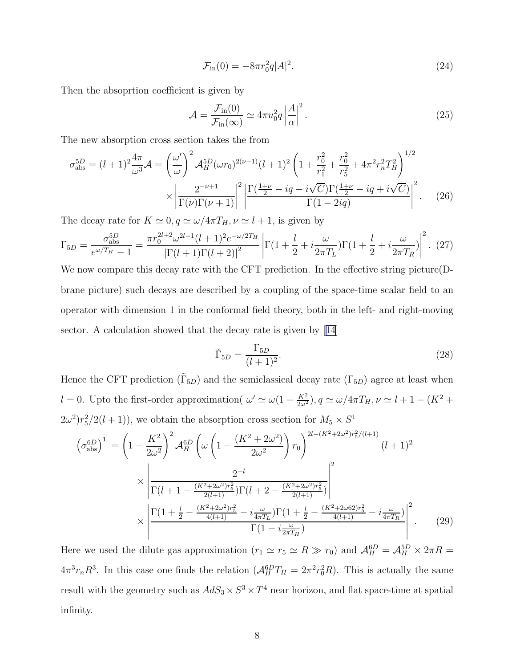$$
\mathcal{F}_{\text{in}}(0) = -8\pi r_0^2 q |A|^2. \tag{24}
$$

Then the absoprtion coefficient is given by

$$
\mathcal{A} = \frac{\mathcal{F}_{\text{in}}(0)}{\mathcal{F}_{\text{in}}(\infty)} \simeq 4\pi u_0^2 q \left| \frac{A}{\alpha} \right|^2.
$$
 (25)

The new absorption cross section takes the from

$$
\sigma_{\rm abs}^{5D} = (l+1)^2 \frac{4\pi}{\omega^3} \mathcal{A} = \left(\frac{\omega'}{\omega}\right)^2 \mathcal{A}_H^{5D} (\omega r_0)^{2(\nu-1)} (l+1)^2 \left(1 + \frac{r_0^2}{r_1^2} + \frac{r_0^2}{r_5^2} + 4\pi^2 r_n^2 T_H^2\right)^{1/2} \times \left|\frac{2^{-\nu+1}}{\Gamma(\nu)\Gamma(\nu+1)}\right|^2 \left|\frac{\Gamma(\frac{1+\nu}{2} - iq - i\sqrt{C})\Gamma(\frac{1+\nu}{2} - iq + i\sqrt{C})}{\Gamma(1-2iq)}\right|^2. \tag{26}
$$

The decay rate for  $K \simeq 0, q \simeq \omega/4\pi T_H, \nu \simeq l+1$ , is given by

$$
\Gamma_{5D} = \frac{\sigma_{\text{abs}}^{5D}}{e^{\omega/T_H} - 1} = \frac{\pi r_0^{2l+2} \omega^{2l-1} (l+1)^2 e^{-\omega/2T_H}}{\left| \Gamma(l+1) \Gamma(l+2) \right|^2} \left| \Gamma(1 + \frac{l}{2} + i \frac{\omega}{2\pi T_L}) \Gamma(1 + \frac{l}{2} + i \frac{\omega}{2\pi T_R}) \right|^2. (27)
$$

We now compare this decay rate with the CFT prediction. In the effective string picture(Dbrane picture) such decays are described by a coupling of the space-time scalar field to an operator with dimension 1 in the conformal field theory, both in the left- and right-moving sector. A calculation showed that the decay rate is given by[[14](#page-13-0)]

$$
\tilde{\Gamma}_{5D} = \frac{\Gamma_{5D}}{(l+1)^2}.\tag{28}
$$

Hence the CFT prediction  $(\tilde{\Gamma}_{5D})$  and the semiclassical decay rate  $(\Gamma_{5D})$  agree at least when l = 0. Upto the first-order approximation(  $\omega' \simeq \omega(1 - \frac{K^2}{2\omega^2})$ ,  $q \simeq \omega/4\pi T_H$ ,  $\nu \simeq l + 1 - (K^2 +$  $(2\omega^2)r_5^2/2(l+1)$ , we obtain the absorption cross section for  $M_5 \times S^1$ 

$$
\left(\sigma_{\text{abs}}^{6D}\right)^{1} = \left(1 - \frac{K^{2}}{2\omega^{2}}\right)^{2} \mathcal{A}_{H}^{6D} \left(\omega\left(1 - \frac{(K^{2} + 2\omega^{2})}{2\omega^{2}}\right) r_{0}\right)^{2l - (K^{2} + 2\omega^{2})r_{5}^{2}/(l+1)} (l+1)^{2}
$$
\n
$$
\times \left|\frac{2^{-l}}{\Gamma(l+1 - \frac{(K^{2} + 2\omega^{2})r_{5}^{2}}{2(l+1)})\Gamma(l+2 - \frac{(K^{2} + 2\omega^{2})r_{5}^{2}}{2(l+1)})}\right|^{2}
$$
\n
$$
\times \left|\frac{\Gamma(1 + \frac{l}{2} - \frac{(K^{2} + 2\omega^{2})r_{5}^{2}}{4(l+1)} - i\frac{\omega}{4\pi T_{L}})\Gamma(1 + \frac{l}{2} - \frac{(K^{2} + 2\omega^{6}r_{5}^{2})}{4(l+1)} - i\frac{\omega}{4\pi T_{R}})}{\Gamma(1 - i\frac{\omega}{2\pi T_{H}})}\right|^{2}.
$$
\n(29)

Here we used the dilute gas approximation  $(r_1 \simeq r_5 \simeq R \gg r_0)$  and  $\mathcal{A}_H^{6D} = \mathcal{A}_H^{5D} \times 2\pi R =$  $4\pi^3 r_n R^3$ . In this case one finds the relation  $(A_H^{6D}T_H = 2\pi^2 r_0^2 R)$ . This is actually the same result with the geometry such as  $AdS_3 \times S^3 \times T^4$  near horizon, and flat space-time at spatial infinity.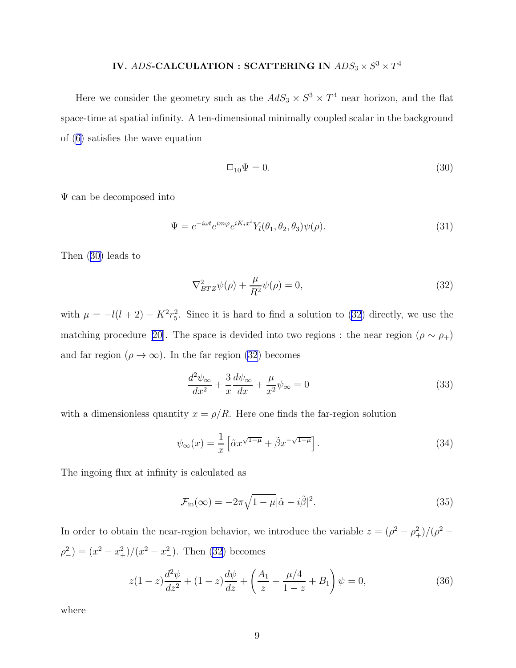# IV. ADS-CALCULATION : SCATTERING IN  $ADS_3 \times S^3 \times T^4$

<span id="page-8-0"></span>Here we consider the geometry such as the  $AdS_3 \times S^3 \times T^4$  near horizon, and the flat space-time at spatial infinity. A ten-dimensional minimally coupled scalar in the background of([6\)](#page-3-0) satisfies the wave equation

$$
\Box_{10}\Psi = 0.\tag{30}
$$

Ψ can be decomposed into

$$
\Psi = e^{-i\omega t} e^{im\varphi} e^{iK_i x^i} Y_l(\theta_1, \theta_2, \theta_3) \psi(\rho).
$$
\n(31)

Then (30) leads to

$$
\nabla_{BTZ}^2 \psi(\rho) + \frac{\mu}{R^2} \psi(\rho) = 0,\tag{32}
$$

with  $\mu = -l(l+2) - K^2 r_5^2$ . Since it is hard to find a solution to (32) directly, we use the matchingprocedure [[20\]](#page-14-0). The space is devided into two regions : the near region ( $\rho \sim \rho_+$ ) and far region  $(\rho \to \infty)$ . In the far region (32) becomes

$$
\frac{d^2\psi_{\infty}}{dx^2} + \frac{3}{x}\frac{d\psi_{\infty}}{dx} + \frac{\mu}{x^2}\psi_{\infty} = 0
$$
\n(33)

with a dimensionless quantity  $x = \rho/R$ . Here one finds the far-region solution

$$
\psi_{\infty}(x) = \frac{1}{x} \left[ \tilde{\alpha} x^{\sqrt{1-\mu}} + \tilde{\beta} x^{-\sqrt{1-\mu}} \right]. \tag{34}
$$

The ingoing flux at infinity is calculated as

$$
\mathcal{F}_{\text{in}}(\infty) = -2\pi \sqrt{1 - \mu} |\tilde{\alpha} - i\tilde{\beta}|^2.
$$
 (35)

In order to obtain the near-region behavior, we introduce the variable  $z = (\rho^2 - \rho_+^2)/(\rho^2 \rho_-^2 = (x^2 - x_+^2)/(x^2 - x_-^2)$ . Then (32) becomes

$$
z(1-z)\frac{d^2\psi}{dz^2} + (1-z)\frac{d\psi}{dz} + \left(\frac{A_1}{z} + \frac{\mu/4}{1-z} + B_1\right)\psi = 0,
$$
\n(36)

where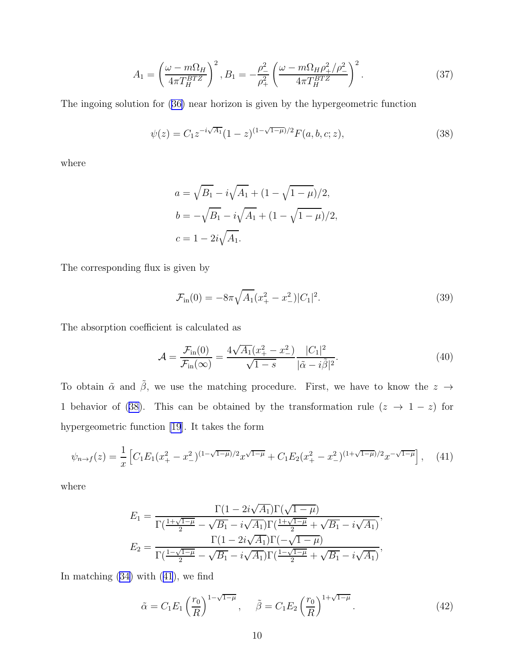$$
A_1 = \left(\frac{\omega - m\Omega_H}{4\pi T_H^{BTZ}}\right)^2, B_1 = -\frac{\rho_-^2}{\rho_+^2} \left(\frac{\omega - m\Omega_H \rho_+^2/\rho_-^2}{4\pi T_H^{BTZ}}\right)^2.
$$
 (37)

The ingoing solution for([36\)](#page-8-0) near horizon is given by the hypergeometric function

$$
\psi(z) = C_1 z^{-i\sqrt{A_1}} (1-z)^{(1-\sqrt{1-\mu})/2} F(a,b,c;z), \tag{38}
$$

where

$$
a = \sqrt{B_1} - i\sqrt{A_1} + (1 - \sqrt{1 - \mu})/2,
$$
  
\n
$$
b = -\sqrt{B_1} - i\sqrt{A_1} + (1 - \sqrt{1 - \mu})/2,
$$
  
\n
$$
c = 1 - 2i\sqrt{A_1}.
$$

The corresponding flux is given by

$$
\mathcal{F}_{\text{in}}(0) = -8\pi \sqrt{A_1} (x_+^2 - x_-^2) |C_1|^2. \tag{39}
$$

The absorption coefficient is calculated as

$$
\mathcal{A} = \frac{\mathcal{F}_{\text{in}}(0)}{\mathcal{F}_{\text{in}}(\infty)} = \frac{4\sqrt{A_1}(x_+^2 - x_-^2)}{\sqrt{1 - s}} \frac{|C_1|^2}{|\tilde{\alpha} - i\tilde{\beta}|^2}.
$$
(40)

To obtain  $\tilde{\alpha}$  and  $\tilde{\beta}$ , we use the matching procedure. First, we have to know the  $z \rightarrow$ 1 behavior of (38). This can be obtained by the transformation rule  $(z \to 1-z)$  for hypergeometric function [\[19](#page-14-0)]. It takes the form

$$
\psi_{n \to f}(z) = \frac{1}{x} \left[ C_1 E_1 (x_+^2 - x_-^2)^{(1 - \sqrt{1 - \mu})/2} x^{\sqrt{1 - \mu}} + C_1 E_2 (x_+^2 - x_-^2)^{(1 + \sqrt{1 - \mu})/2} x^{-\sqrt{1 - \mu}} \right], \quad (41)
$$

where

$$
E_1 = \frac{\Gamma(1 - 2i\sqrt{A_1})\Gamma(\sqrt{1 - \mu})}{\Gamma(\frac{1 + \sqrt{1 - \mu}}{2} - \sqrt{B_1} - i\sqrt{A_1})\Gamma(\frac{1 + \sqrt{1 - \mu}}{2} + \sqrt{B_1} - i\sqrt{A_1})},
$$
  

$$
E_2 = \frac{\Gamma(1 - 2i\sqrt{A_1})\Gamma(-\sqrt{1 - \mu})}{\Gamma(\frac{1 - \sqrt{1 - \mu}}{2} - \sqrt{B_1} - i\sqrt{A_1})\Gamma(\frac{1 - \sqrt{1 - \mu}}{2} + \sqrt{B_1} - i\sqrt{A_1})},
$$

In matching [\(34\)](#page-8-0) with (41), we find

$$
\tilde{\alpha} = C_1 E_1 \left(\frac{r_0}{R}\right)^{1-\sqrt{1-\mu}}, \quad \tilde{\beta} = C_1 E_2 \left(\frac{r_0}{R}\right)^{1+\sqrt{1-\mu}}.
$$
\n(42)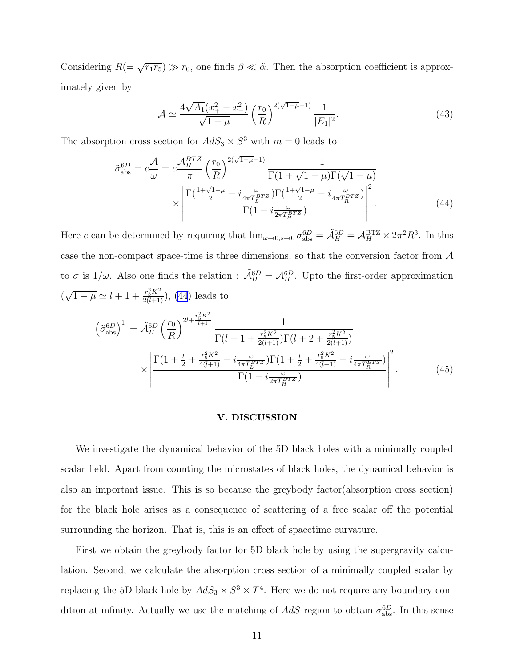Considering  $R(=\sqrt{r_1r_5}) \gg r_0$ , one finds  $\tilde{\beta} \ll \tilde{\alpha}$ . Then the absorption coefficient is approximately given by

$$
\mathcal{A} \simeq \frac{4\sqrt{A_1}(x_+^2 - x_-^2)}{\sqrt{1 - \mu}} \left(\frac{r_0}{R}\right)^{2(\sqrt{1 - \mu} - 1)} \frac{1}{|E_1|^2}.\tag{43}
$$

The absorption cross section for  $AdS_3 \times S^3$  with  $m = 0$  leads to

$$
\tilde{\sigma}_{\text{abs}}^{6D} = c \frac{\mathcal{A}}{\omega} = c \frac{\mathcal{A}_H^{BTZ}}{\pi} \left(\frac{r_0}{R}\right)^{2(\sqrt{1-\mu}-1)} \frac{1}{\Gamma(1+\sqrt{1-\mu})\Gamma(\sqrt{1-\mu})} \times \left| \frac{\Gamma(\frac{1+\sqrt{1-\mu}}{2} - i\frac{\omega}{4\pi T_L^{BTZ}})\Gamma(\frac{1+\sqrt{1-\mu}}{2} - i\frac{\omega}{4\pi T_R^{BTZ}})}{\Gamma(1 - i\frac{\omega}{2\pi T_H^{BTZ}})} \right|^2. \tag{44}
$$

Here c can be determined by requiring that  $\lim_{\omega\to 0, s\to 0} \tilde{\sigma}_{\text{abs}}^{6D} = \tilde{\mathcal{A}}_H^{6D} = \mathcal{A}_H^{\text{BTZ}} \times 2\pi^2 R^3$ . In this case the non-compact space-time is three dimensions, so that the conversion factor from  $A$ to  $\sigma$  is  $1/\omega$ . Also one finds the relation :  $\tilde{\mathcal{A}}_H^{6D} = \mathcal{A}_H^{6D}$ . Upto the first-order approximation  $(\sqrt{1-\mu} \simeq l+1+\frac{r_5^2 K^2}{2(l+1)}),$  (44) leads to

$$
\left(\tilde{\sigma}_{\text{abs}}^{6D}\right)^{1} = \tilde{\mathcal{A}}_{H}^{6D} \left(\frac{r_{0}}{R}\right)^{2l + \frac{r_{5}^{2}K^{2}}{l+1}} \frac{1}{\Gamma(l+1+\frac{r_{5}^{2}K^{2}}{2(l+1)})\Gamma(l+2+\frac{r_{5}^{2}K^{2}}{2(l+1)})} \times \left| \frac{\Gamma(1+\frac{l}{2}+\frac{r_{5}^{2}K^{2}}{4(l+1)}-\frac{\omega}{4\pi T_{L}^{BTZ}})\Gamma(1+\frac{l}{2}+\frac{r_{5}^{2}K^{2}}{4(l+1)}-\frac{\omega}{4\pi T_{R}^{BTZ}})}{\Gamma(1-\frac{\omega}{2\pi T_{H}^{BTZ}})} \right|^{2}.
$$
 (45)

#### V. DISCUSSION

We investigate the dynamical behavior of the 5D black holes with a minimally coupled scalar field. Apart from counting the microstates of black holes, the dynamical behavior is also an important issue. This is so because the greybody factor(absorption cross section) for the black hole arises as a consequence of scattering of a free scalar off the potential surrounding the horizon. That is, this is an effect of spacetime curvature.

First we obtain the greybody factor for 5D black hole by using the supergravity calculation. Second, we calculate the absorption cross section of a minimally coupled scalar by replacing the 5D black hole by  $AdS_3 \times S^3 \times T^4$ . Here we do not require any boundary condition at infinity. Actually we use the matching of  $AdS$  region to obtain  $\tilde{\sigma}_{\text{abs}}^{6D}$ . In this sense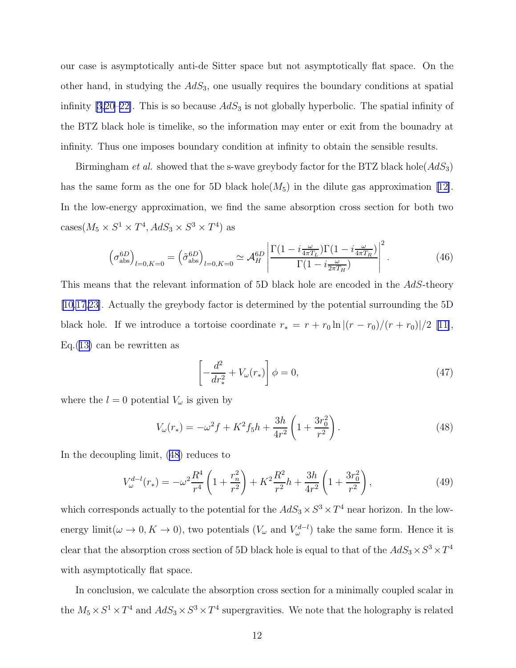our case is asymptotically anti-de Sitter space but not asymptotically flat space. On the other hand, in studying the  $AdS_3$ , one usually requires the boundary conditions at spatial infinity [\[3](#page-13-0)[,20](#page-14-0)–[22\]](#page-14-0). This is so because  $AdS_3$  is not globally hyperbolic. The spatial infinity of the BTZ black hole is timelike, so the information may enter or exit from the bounadry at infinity. Thus one imposes boundary condition at infinity to obtain the sensible results.

Birmingham *et al.* showed that the s-wave greybody factor for the BTZ black hole  $AdS_3$ ) has the same form as the one for 5D black hole( $M_5$ ) in the dilute gas approximation [\[12\]](#page-13-0). In the low-energy approximation, we find the same absorption cross section for both two cases( $M_5 \times S^1 \times T^4$ ,  $AdS_3 \times S^3 \times T^4$ ) as

$$
\left(\sigma_{\rm abs}^{\rm 6D}\right)_{l=0,K=0} = \left(\tilde{\sigma}_{\rm abs}^{\rm 6D}\right)_{l=0,K=0} \simeq \mathcal{A}_H^{\rm 6D} \left| \frac{\Gamma(1 - i\frac{\omega}{4\pi T_L})\Gamma(1 - i\frac{\omega}{4\pi T_R})}{\Gamma(1 - i\frac{\omega}{2\pi T_H})} \right|^2. \tag{46}
$$

This means that the relevant information of 5D black hole are encoded in the AdS-theory [\[10](#page-13-0)[,17,23\]](#page-14-0). Actually the greybody factor is determined by the potential surrounding the 5D black hole. If we introduce a tortoise coordinate  $r_* = r + r_0 \ln |(r - r_0)/(r + r_0)|/2$  [\[11\]](#page-13-0), Eq.([13\)](#page-4-0) can be rewritten as

$$
\left[-\frac{d^2}{dr_*^2} + V_\omega(r_*)\right]\phi = 0,\tag{47}
$$

where the  $l = 0$  potential  $V_{\omega}$  is given by

$$
V_{\omega}(r_{*}) = -\omega^{2} f + K^{2} f_{5} h + \frac{3h}{4r^{2}} \left( 1 + \frac{3r_{0}^{2}}{r^{2}} \right). \tag{48}
$$

In the decoupling limit, (48) reduces to

$$
V_{\omega}^{d-l}(r_{*}) = -\omega^{2} \frac{R^{4}}{r^{4}} \left( 1 + \frac{r_{n}^{2}}{r^{2}} \right) + K^{2} \frac{R^{2}}{r^{2}} h + \frac{3h}{4r^{2}} \left( 1 + \frac{3r_{0}^{2}}{r^{2}} \right),
$$
\n(49)

which corresponds actually to the potential for the  $AdS_3 \times S^3 \times T^4$  near horizon. In the lowenergy limit( $\omega \to 0, K \to 0$ ), two potentials  $(V_{\omega}$  and  $V_{\omega}^{d-l}$ ) take the same form. Hence it is clear that the absorption cross section of 5D black hole is equal to that of the  $AdS_3 \times S^3 \times T^4$ with asymptotically flat space.

In conclusion, we calculate the absorption cross section for a minimally coupled scalar in the  $M_5 \times S^1 \times T^4$  and  $AdS_3 \times S^3 \times T^4$  supergravities. We note that the holography is related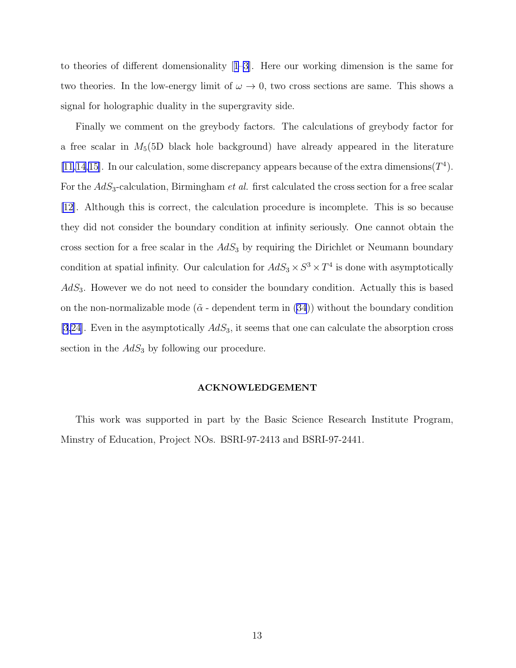to theories of different domensionality[[1–3](#page-13-0)]. Here our working dimension is the same for two theories. In the low-energy limit of  $\omega \to 0$ , two cross sections are same. This shows a signal for holographic duality in the supergravity side.

Finally we comment on the greybody factors. The calculations of greybody factor for a free scalar in  $M_5(5D)$  black hole background) have already appeared in the literature [\[11,14,15](#page-13-0)]. In our calculation, some discrepancy appears because of the extra dimensions  $(T^4)$ . For the  $AdS<sub>3</sub>$ -calculation, Birmingham *et al.* first calculated the cross section for a free scalar [\[12](#page-13-0)]. Although this is correct, the calculation procedure is incomplete. This is so because they did not consider the boundary condition at infinity seriously. One cannot obtain the cross section for a free scalar in the  $AdS_3$  by requiring the Dirichlet or Neumann boundary condition at spatial infinity. Our calculation for  $AdS_3 \times S^3 \times T^4$  is done with asymptotically  $AdS<sub>3</sub>$ . However we do not need to consider the boundary condition. Actually this is based on the non-normalizable mode ( $\tilde{\alpha}$  - dependent term in [\(34](#page-8-0))) without the boundary condition [\[3](#page-13-0)[,24](#page-14-0)]. Even in the asymptotically  $AdS_3$ , it seems that one can calculate the absorption cross section in the  $AdS_3$  by following our procedure.

### ACKNOWLEDGEMENT

This work was supported in part by the Basic Science Research Institute Program, Minstry of Education, Project NOs. BSRI-97-2413 and BSRI-97-2441.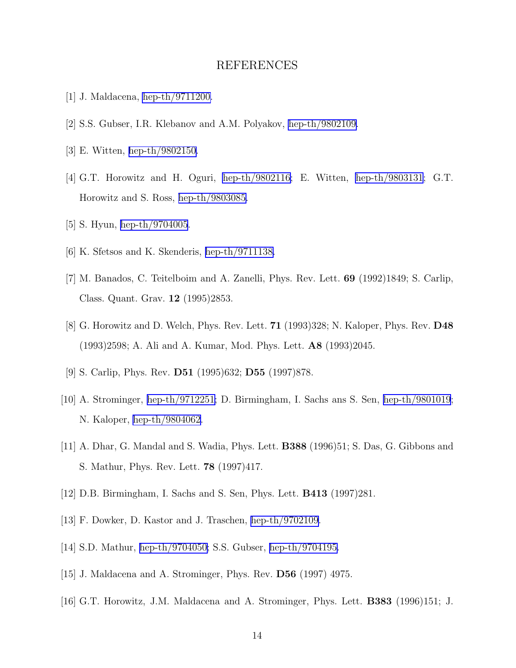## REFERENCES

- <span id="page-13-0"></span>[1] J. Maldacena, [hep-th/9711200.](http://arxiv.org/abs/hep-th/9711200)
- [2] S.S. Gubser, I.R. Klebanov and A.M. Polyakov, [hep-th/9802109.](http://arxiv.org/abs/hep-th/9802109)
- [3] E. Witten, [hep-th/9802150.](http://arxiv.org/abs/hep-th/9802150)
- [4] G.T. Horowitz and H. Oguri, [hep-th/9802116;](http://arxiv.org/abs/hep-th/9802116) E. Witten, [hep-th/9803131](http://arxiv.org/abs/hep-th/9803131); G.T. Horowitz and S. Ross, [hep-th/9803085.](http://arxiv.org/abs/hep-th/9803085)
- [5] S. Hyun, [hep-th/9704005](http://arxiv.org/abs/hep-th/9704005).
- [6] K. Sfetsos and K. Skenderis, [hep-th/9711138.](http://arxiv.org/abs/hep-th/9711138)
- [7] M. Banados, C. Teitelboim and A. Zanelli, Phys. Rev. Lett. 69 (1992)1849; S. Carlip, Class. Quant. Grav. 12 (1995)2853.
- [8] G. Horowitz and D. Welch, Phys. Rev. Lett. 71 (1993)328; N. Kaloper, Phys. Rev. D48 (1993)2598; A. Ali and A. Kumar, Mod. Phys. Lett. A8 (1993)2045.
- [9] S. Carlip, Phys. Rev. D51 (1995)632; D55 (1997)878.
- [10] A. Strominger, [hep-th/9712251;](http://arxiv.org/abs/hep-th/9712251) D. Birmingham, I. Sachs ans S. Sen, [hep-th/9801019](http://arxiv.org/abs/hep-th/9801019); N. Kaloper, [hep-th/9804062](http://arxiv.org/abs/hep-th/9804062).
- [11] A. Dhar, G. Mandal and S. Wadia, Phys. Lett. B388 (1996)51; S. Das, G. Gibbons and S. Mathur, Phys. Rev. Lett. 78 (1997)417.
- [12] D.B. Birmingham, I. Sachs and S. Sen, Phys. Lett. B413 (1997)281.
- [13] F. Dowker, D. Kastor and J. Traschen, [hep-th/9702109.](http://arxiv.org/abs/hep-th/9702109)
- [14] S.D. Mathur, [hep-th/9704050;](http://arxiv.org/abs/hep-th/9704050) S.S. Gubser, [hep-th/9704195.](http://arxiv.org/abs/hep-th/9704195)
- [15] J. Maldacena and A. Strominger, Phys. Rev. D56 (1997) 4975.
- [16] G.T. Horowitz, J.M. Maldacena and A. Strominger, Phys. Lett. B383 (1996)151; J.